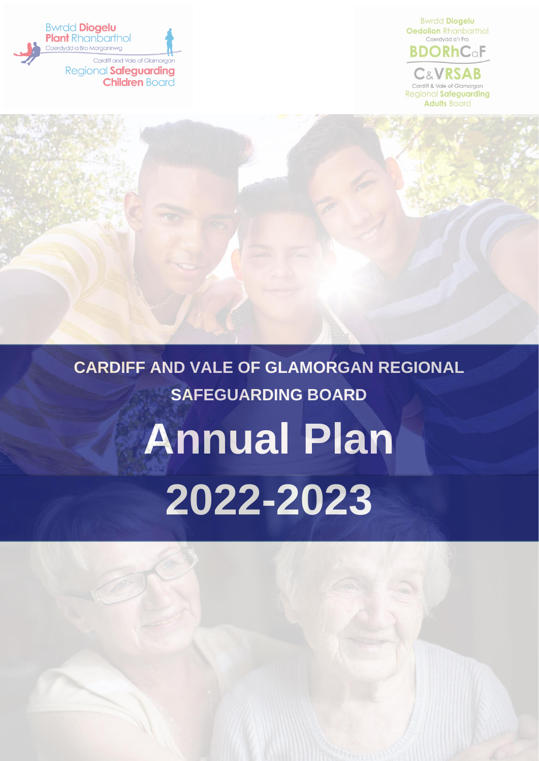



#### **CARDIFF AND VALE OF GLAMORGAN REGIONAL SAFEGUARDING BOARD**

**Annual Plan 2022-2023**

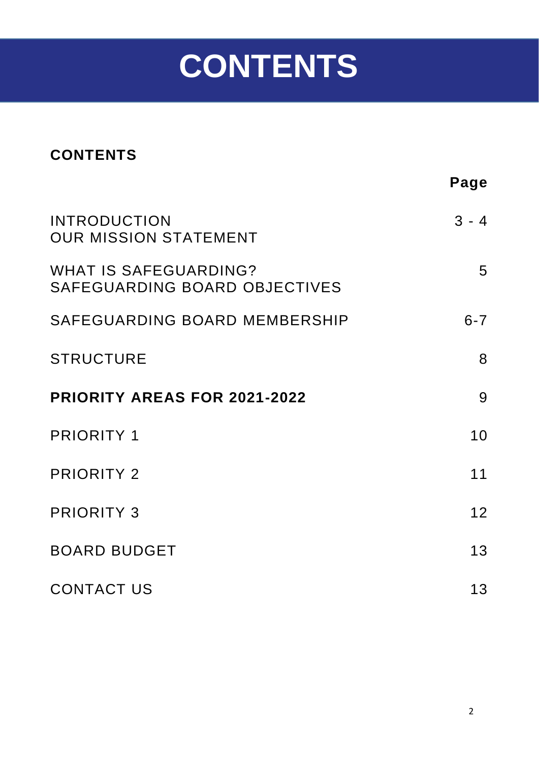# **CONTENTS**

#### **CONTENTS**

|                                                               | Page    |
|---------------------------------------------------------------|---------|
| <b>INTRODUCTION</b><br><b>OUR MISSION STATEMENT</b>           | $3 - 4$ |
| <b>WHAT IS SAFEGUARDING?</b><br>SAFEGUARDING BOARD OBJECTIVES | 5       |
| SAFEGUARDING BOARD MEMBERSHIP                                 | $6 - 7$ |
| <b>STRUCTURE</b>                                              | 8       |
| <b>PRIORITY AREAS FOR 2021-2022</b>                           | 9       |
| <b>PRIORITY 1</b>                                             | 10      |
| <b>PRIORITY 2</b>                                             | 11      |
| <b>PRIORITY 3</b>                                             | 12      |
| <b>BOARD BUDGET</b>                                           | 13      |
| <b>CONTACT US</b>                                             | 13      |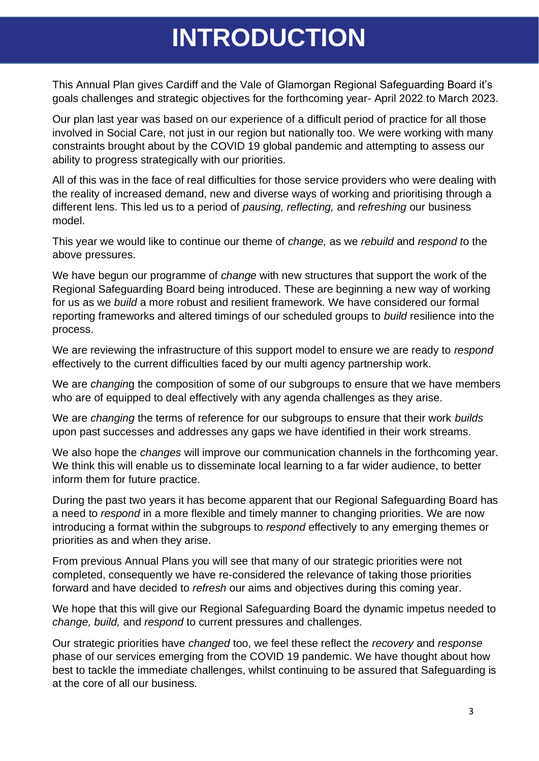### **INTRODUCTION**

This Annual Plan gives Cardiff and the Vale of Glamorgan Regional Safeguarding Board it's goals challenges and strategic objectives for the forthcoming year- April 2022 to March 2023.

Our plan last year was based on our experience of a difficult period of practice for all those involved in Social Care, not just in our region but nationally too. We were working with many constraints brought about by the COVID 19 global pandemic and attempting to assess our ability to progress strategically with our priorities.

All of this was in the face of real difficulties for those service providers who were dealing with the reality of increased demand, new and diverse ways of working and prioritising through a different lens. This led us to a period of *pausing, reflecting,* and *refreshing* our business model.

This year we would like to continue our theme of *change,* as we *rebuild* and *respond t*o the above pressures.

We have begun our programme of *change* with new structures that support the work of the Regional Safeguarding Board being introduced. These are beginning a new way of working for us as we *build* a more robust and resilient framework. We have considered our formal reporting frameworks and altered timings of our scheduled groups to *build* resilience into the process.

We are reviewing the infrastructure of this support model to ensure we are ready to *respond*  effectively to the current difficulties faced by our multi agency partnership work.

We are *changin*g the composition of some of our subgroups to ensure that we have members who are of equipped to deal effectively with any agenda challenges as they arise.

We are *changing* the terms of reference for our subgroups to ensure that their work *builds* upon past successes and addresses any gaps we have identified in their work streams.

We also hope the *changes* will improve our communication channels in the forthcoming year. We think this will enable us to disseminate local learning to a far wider audience, to better inform them for future practice.

During the past two years it has become apparent that our Regional Safeguarding Board has a need to *respond* in a more flexible and timely manner to changing priorities. We are now introducing a format within the subgroups to *respond* effectively to any emerging themes or priorities as and when they arise.

From previous Annual Plans you will see that many of our strategic priorities were not completed, consequently we have re-considered the relevance of taking those priorities forward and have decided to *refresh* our aims and objectives during this coming year.

We hope that this will give our Regional Safeguarding Board the dynamic impetus needed to *change, build,* and *respond* to current pressures and challenges.

Our strategic priorities have *changed* too, we feel these reflect the *recovery* and *response* phase of our services emerging from the COVID 19 pandemic. We have thought about how best to tackle the immediate challenges, whilst continuing to be assured that Safeguarding is at the core of all our business.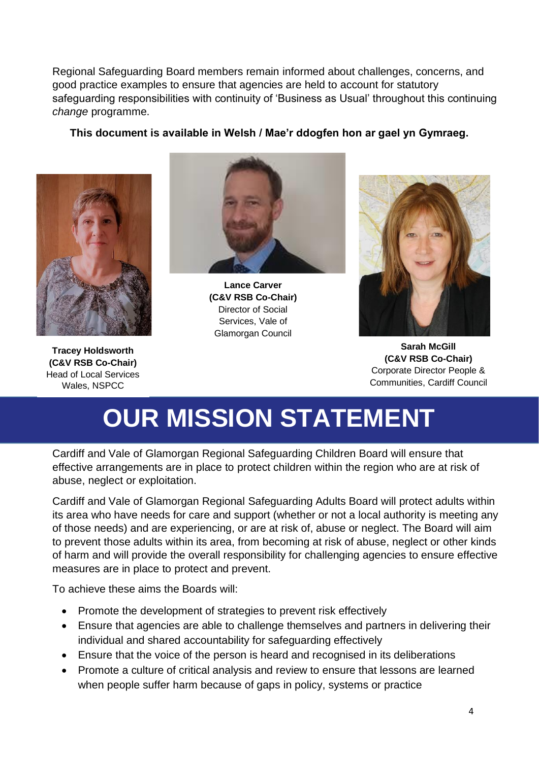Regional Safeguarding Board members remain informed about challenges, concerns, and good practice examples to ensure that agencies are held to account for statutory safeguarding responsibilities with continuity of 'Business as Usual' throughout this continuing *change* programme.

#### **This document is available in Welsh / Mae'r ddogfen hon ar gael yn Gymraeg.**



**Tracey Holdsworth (C&V RSB Co-Chair)** Head of Local Services Wales, NSPCC



**Lance Carver (C&V RSB Co-Chair)** Director of Social Services, Vale of Glamorgan Council



**Sarah McGill (C&V RSB Co-Chair)** Corporate Director People & Communities, Cardiff Council

### **OUR MISSION STATEMENT**

Cardiff and Vale of Glamorgan Regional Safeguarding Children Board will ensure that effective arrangements are in place to protect children within the region who are at risk of abuse, neglect or exploitation.

Cardiff and Vale of Glamorgan Regional Safeguarding Adults Board will protect adults within its area who have needs for care and support (whether or not a local authority is meeting any of those needs) and are experiencing, or are at risk of, abuse or neglect. The Board will aim to prevent those adults within its area, from becoming at risk of abuse, neglect or other kinds of harm and will provide the overall responsibility for challenging agencies to ensure effective measures are in place to protect and prevent.

To achieve these aims the Boards will:

- Promote the development of strategies to prevent risk effectively
- Ensure that agencies are able to challenge themselves and partners in delivering their individual and shared accountability for safeguarding effectively
- Ensure that the voice of the person is heard and recognised in its deliberations
- Promote a culture of critical analysis and review to ensure that lessons are learned when people suffer harm because of gaps in policy, systems or practice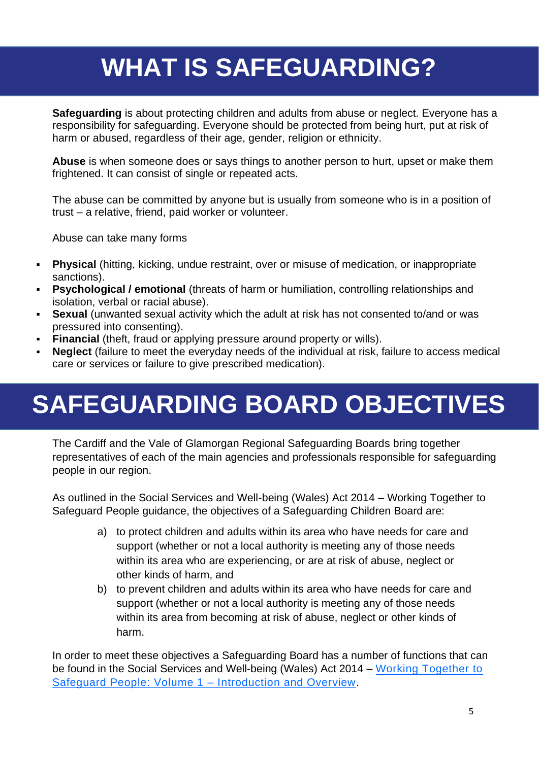# **WHAT IS SAFEGUARDING?**

**Safeguarding** is about protecting children and adults from abuse or neglect. Everyone has a responsibility for safeguarding. Everyone should be protected from being hurt, put at risk of harm or abused, regardless of their age, gender, religion or ethnicity.

**Abuse** is when someone does or says things to another person to hurt, upset or make them frightened. It can consist of single or repeated acts.

The abuse can be committed by anyone but is usually from someone who is in a position of trust – a relative, friend, paid worker or volunteer.

Abuse can take many forms

- **Physical** (hitting, kicking, undue restraint, over or misuse of medication, or inappropriate sanctions).
- **Psychological / emotional** (threats of harm or humiliation, controlling relationships and isolation, verbal or racial abuse).
- **Sexual** (unwanted sexual activity which the adult at risk has not consented to/and or was pressured into consenting).
- **Financial** (theft, fraud or applying pressure around property or wills).
- **Neglect** (failure to meet the everyday needs of the individual at risk, failure to access medical care or services or failure to give prescribed medication).

# **SAFEGUARDING BOARD OBJECTIVES**

The Cardiff and the Vale of Glamorgan Regional Safeguarding Boards bring together representatives of each of the main agencies and professionals responsible for safeguarding people in our region.

As outlined in the Social Services and Well-being (Wales) Act 2014 – Working Together to Safeguard People guidance, the objectives of a Safeguarding Children Board are:

- a) to protect children and adults within its area who have needs for care and support (whether or not a local authority is meeting any of those needs within its area who are experiencing, or are at risk of abuse, neglect or other kinds of harm, and
- b) to prevent children and adults within its area who have needs for care and support (whether or not a local authority is meeting any of those needs within its area from becoming at risk of abuse, neglect or other kinds of harm.

In order to meet these objectives a Safeguarding Board has a number of functions that can be found in the Social Services and Well-being (Wales) Act 2014 – [Working Together to](http://gov.wales/docs/phhs/publications/160404part7guidevol1en.pdf)  [Safeguard People: Volume 1 –](http://gov.wales/docs/phhs/publications/160404part7guidevol1en.pdf) Introduction and Overview.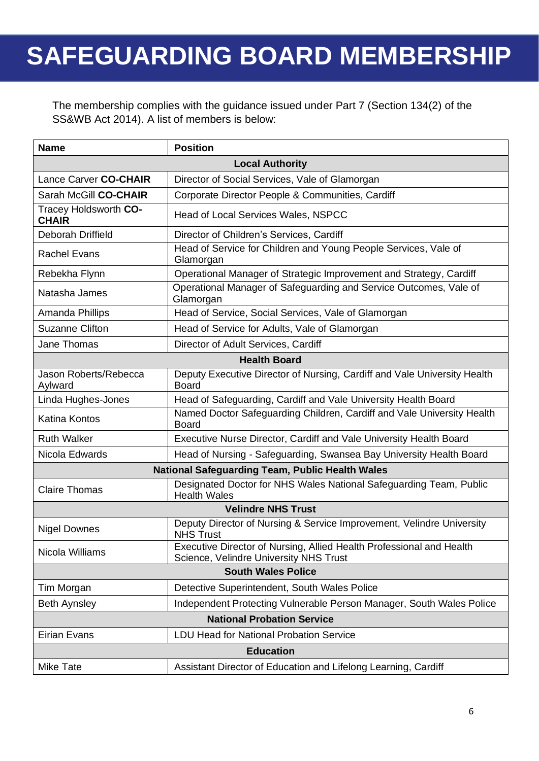### **SAFEGUARDING BOARD MEMBERSHIP**

The membership complies with the guidance issued under Part 7 (Section 134(2) of the SS&WB Act 2014). A list of members is below:

| <b>Name</b>                                                                                                                  | <b>Position</b>                                                                                                |  |  |  |
|------------------------------------------------------------------------------------------------------------------------------|----------------------------------------------------------------------------------------------------------------|--|--|--|
| <b>Local Authority</b>                                                                                                       |                                                                                                                |  |  |  |
| Lance Carver CO-CHAIR<br>Director of Social Services, Vale of Glamorgan                                                      |                                                                                                                |  |  |  |
| Sarah McGill CO-CHAIR                                                                                                        | Corporate Director People & Communities, Cardiff                                                               |  |  |  |
| Tracey Holdsworth CO-<br><b>CHAIR</b>                                                                                        | <b>Head of Local Services Wales, NSPCC</b>                                                                     |  |  |  |
| Deborah Driffield                                                                                                            | Director of Children's Services, Cardiff                                                                       |  |  |  |
| <b>Rachel Evans</b>                                                                                                          | Head of Service for Children and Young People Services, Vale of<br>Glamorgan                                   |  |  |  |
| Rebekha Flynn                                                                                                                | Operational Manager of Strategic Improvement and Strategy, Cardiff                                             |  |  |  |
| Natasha James                                                                                                                | Operational Manager of Safeguarding and Service Outcomes, Vale of<br>Glamorgan                                 |  |  |  |
| Amanda Phillips                                                                                                              | Head of Service, Social Services, Vale of Glamorgan                                                            |  |  |  |
| Suzanne Clifton<br>Head of Service for Adults, Vale of Glamorgan                                                             |                                                                                                                |  |  |  |
| Jane Thomas                                                                                                                  | Director of Adult Services, Cardiff                                                                            |  |  |  |
| <b>Health Board</b>                                                                                                          |                                                                                                                |  |  |  |
| Jason Roberts/Rebecca<br>Deputy Executive Director of Nursing, Cardiff and Vale University Health<br><b>Board</b><br>Aylward |                                                                                                                |  |  |  |
| Head of Safeguarding, Cardiff and Vale University Health Board<br>Linda Hughes-Jones                                         |                                                                                                                |  |  |  |
| <b>Katina Kontos</b>                                                                                                         | Named Doctor Safeguarding Children, Cardiff and Vale University Health<br>Board                                |  |  |  |
| <b>Ruth Walker</b>                                                                                                           | Executive Nurse Director, Cardiff and Vale University Health Board                                             |  |  |  |
| Nicola Edwards<br>Head of Nursing - Safeguarding, Swansea Bay University Health Board                                        |                                                                                                                |  |  |  |
| <b>National Safeguarding Team, Public Health Wales</b>                                                                       |                                                                                                                |  |  |  |
| <b>Claire Thomas</b>                                                                                                         | Designated Doctor for NHS Wales National Safeguarding Team, Public<br><b>Health Wales</b>                      |  |  |  |
|                                                                                                                              | <b>Velindre NHS Trust</b>                                                                                      |  |  |  |
| <b>Nigel Downes</b>                                                                                                          | Deputy Director of Nursing & Service Improvement, Velindre University<br><b>NHS Trust</b>                      |  |  |  |
| Nicola Williams                                                                                                              | Executive Director of Nursing, Allied Health Professional and Health<br>Science, Velindre University NHS Trust |  |  |  |
| <b>South Wales Police</b>                                                                                                    |                                                                                                                |  |  |  |
| Tim Morgan                                                                                                                   | Detective Superintendent, South Wales Police                                                                   |  |  |  |
| <b>Beth Aynsley</b>                                                                                                          | Independent Protecting Vulnerable Person Manager, South Wales Police                                           |  |  |  |
| <b>National Probation Service</b>                                                                                            |                                                                                                                |  |  |  |
| Eirian Evans                                                                                                                 | <b>LDU Head for National Probation Service</b>                                                                 |  |  |  |
| <b>Education</b>                                                                                                             |                                                                                                                |  |  |  |
| Mike Tate                                                                                                                    | Assistant Director of Education and Lifelong Learning, Cardiff                                                 |  |  |  |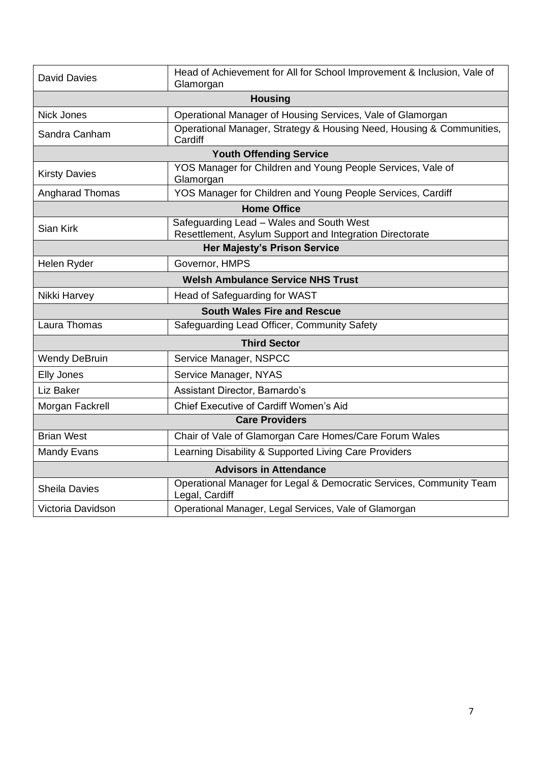| <b>David Davies</b>                                                                                               | Head of Achievement for All for School Improvement & Inclusion, Vale of               |  |  |  |
|-------------------------------------------------------------------------------------------------------------------|---------------------------------------------------------------------------------------|--|--|--|
|                                                                                                                   | Glamorgan                                                                             |  |  |  |
|                                                                                                                   | <b>Housing</b>                                                                        |  |  |  |
| <b>Nick Jones</b>                                                                                                 | Operational Manager of Housing Services, Vale of Glamorgan                            |  |  |  |
| Sandra Canham                                                                                                     | Operational Manager, Strategy & Housing Need, Housing & Communities,<br>Cardiff       |  |  |  |
| <b>Youth Offending Service</b>                                                                                    |                                                                                       |  |  |  |
| YOS Manager for Children and Young People Services, Vale of<br><b>Kirsty Davies</b><br>Glamorgan                  |                                                                                       |  |  |  |
| Angharad Thomas                                                                                                   | YOS Manager for Children and Young People Services, Cardiff                           |  |  |  |
| <b>Home Office</b>                                                                                                |                                                                                       |  |  |  |
| Safeguarding Lead - Wales and South West<br>Sian Kirk<br>Resettlement, Asylum Support and Integration Directorate |                                                                                       |  |  |  |
| <b>Her Majesty's Prison Service</b>                                                                               |                                                                                       |  |  |  |
| Helen Ryder<br>Governor, HMPS                                                                                     |                                                                                       |  |  |  |
|                                                                                                                   | <b>Welsh Ambulance Service NHS Trust</b>                                              |  |  |  |
| Nikki Harvey                                                                                                      | Head of Safeguarding for WAST                                                         |  |  |  |
|                                                                                                                   | <b>South Wales Fire and Rescue</b>                                                    |  |  |  |
| Laura Thomas                                                                                                      | Safeguarding Lead Officer, Community Safety                                           |  |  |  |
|                                                                                                                   | <b>Third Sector</b>                                                                   |  |  |  |
| <b>Wendy DeBruin</b>                                                                                              | Service Manager, NSPCC                                                                |  |  |  |
| <b>Elly Jones</b>                                                                                                 | Service Manager, NYAS                                                                 |  |  |  |
| Liz Baker                                                                                                         | Assistant Director, Barnardo's                                                        |  |  |  |
| Chief Executive of Cardiff Women's Aid<br>Morgan Fackrell                                                         |                                                                                       |  |  |  |
| <b>Care Providers</b>                                                                                             |                                                                                       |  |  |  |
| <b>Brian West</b>                                                                                                 | Chair of Vale of Glamorgan Care Homes/Care Forum Wales                                |  |  |  |
| <b>Mandy Evans</b>                                                                                                | Learning Disability & Supported Living Care Providers                                 |  |  |  |
| <b>Advisors in Attendance</b>                                                                                     |                                                                                       |  |  |  |
| <b>Sheila Davies</b>                                                                                              | Operational Manager for Legal & Democratic Services, Community Team<br>Legal, Cardiff |  |  |  |
| Victoria Davidson<br>Operational Manager, Legal Services, Vale of Glamorgan                                       |                                                                                       |  |  |  |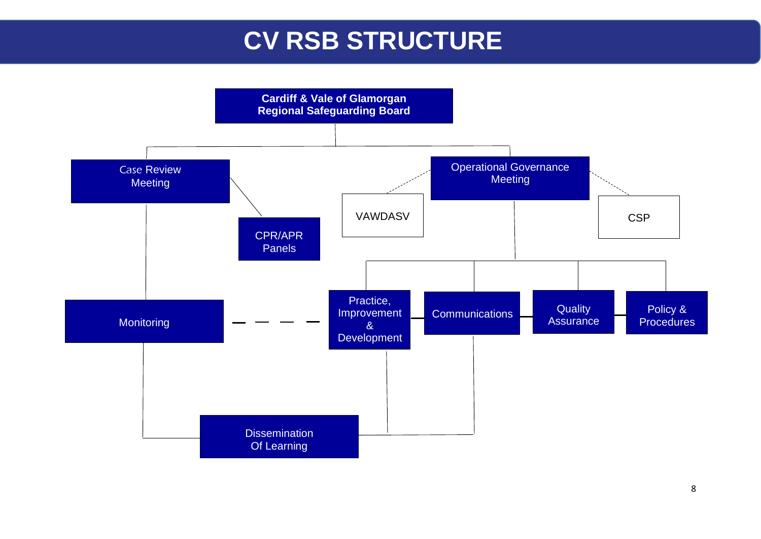### **CV RSB STRUCTURE**

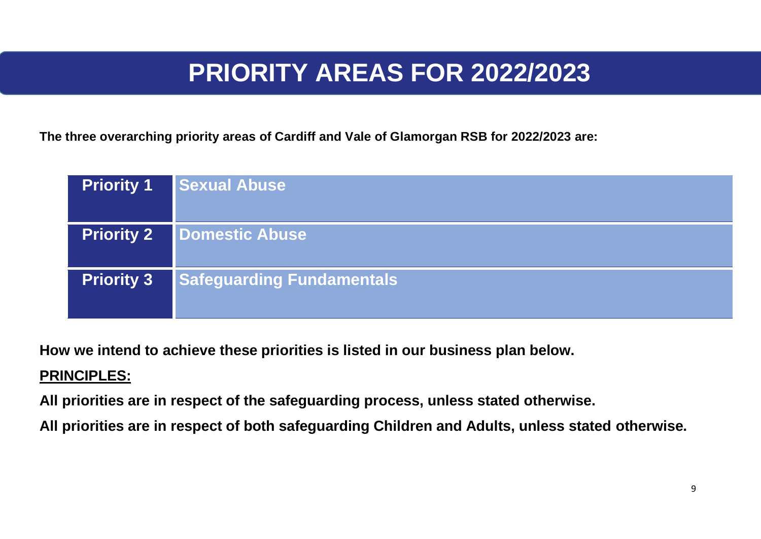### **PRIORITY AREAS FOR 2022/2023**

**The three overarching priority areas of Cardiff and Vale of Glamorgan RSB for 2022/2023 are:**

| <b>Priority 1</b> | <b>Sexual Abuse</b>              |
|-------------------|----------------------------------|
| <b>Priority 2</b> | <b>Domestic Abuse</b>            |
| <b>Priority 3</b> | <b>Safeguarding Fundamentals</b> |

**How we intend to achieve these priorities is listed in our business plan below.**

#### **PRINCIPLES:**

**All priorities are in respect of the safeguarding process, unless stated otherwise.**

**All priorities are in respect of both safeguarding Children and Adults, unless stated otherwise.**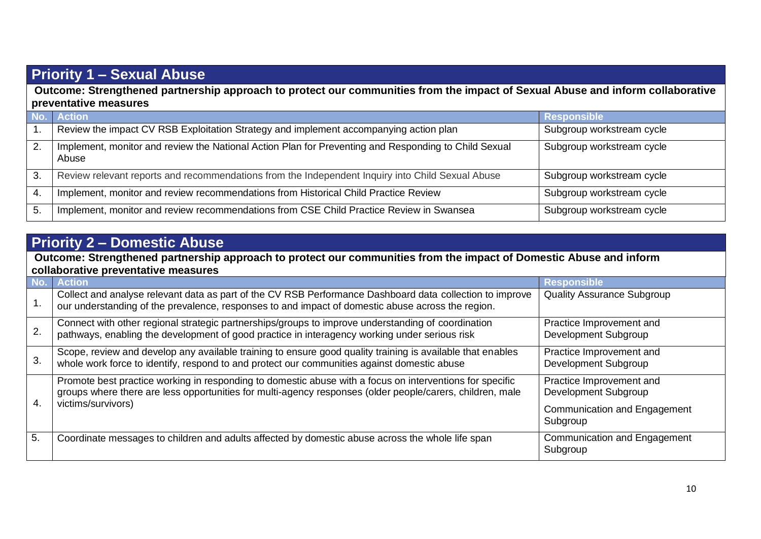#### **Priority 1 – Sexual Abuse**

**Outcome: Strengthened partnership approach to protect our communities from the impact of Sexual Abuse and inform collaborative preventative measures**

|              | <b>Action</b>                                                                                                 | <b>Responsible</b>        |
|--------------|---------------------------------------------------------------------------------------------------------------|---------------------------|
|              | Review the impact CV RSB Exploitation Strategy and implement accompanying action plan                         | Subgroup workstream cycle |
| 2.           | Implement, monitor and review the National Action Plan for Preventing and Responding to Child Sexual<br>Abuse | Subgroup workstream cycle |
| З.           | Review relevant reports and recommendations from the Independent Inquiry into Child Sexual Abuse              | Subgroup workstream cycle |
| $\mathbf{4}$ | Implement, monitor and review recommendations from Historical Child Practice Review                           | Subgroup workstream cycle |
| 5.           | Implement, monitor and review recommendations from CSE Child Practice Review in Swansea                       | Subgroup workstream cycle |

#### **Priority 2 – Domestic Abuse**

**Outcome: Strengthened partnership approach to protect our communities from the impact of Domestic Abuse and inform collaborative preventative measures**

|     | <b>Action</b>                                                                                                                                                                                                         | <b>Responsible</b>                               |  |  |
|-----|-----------------------------------------------------------------------------------------------------------------------------------------------------------------------------------------------------------------------|--------------------------------------------------|--|--|
| ι.  | Collect and analyse relevant data as part of the CV RSB Performance Dashboard data collection to improve<br>our understanding of the prevalence, responses to and impact of domestic abuse across the region.         | <b>Quality Assurance Subgroup</b>                |  |  |
|     | Connect with other regional strategic partnerships/groups to improve understanding of coordination<br>pathways, enabling the development of good practice in interagency working under serious risk                   | Practice Improvement and<br>Development Subgroup |  |  |
| 3.  | Scope, review and develop any available training to ensure good quality training is available that enables<br>whole work force to identify, respond to and protect our communities against domestic abuse             | Practice Improvement and<br>Development Subgroup |  |  |
|     | Promote best practice working in responding to domestic abuse with a focus on interventions for specific<br>groups where there are less opportunities for multi-agency responses (older people/carers, children, male | Practice Improvement and<br>Development Subgroup |  |  |
| -4. | victims/survivors)                                                                                                                                                                                                    | <b>Communication and Engagement</b><br>Subgroup  |  |  |
| 5.  | Coordinate messages to children and adults affected by domestic abuse across the whole life span                                                                                                                      | Communication and Engagement<br>Subgroup         |  |  |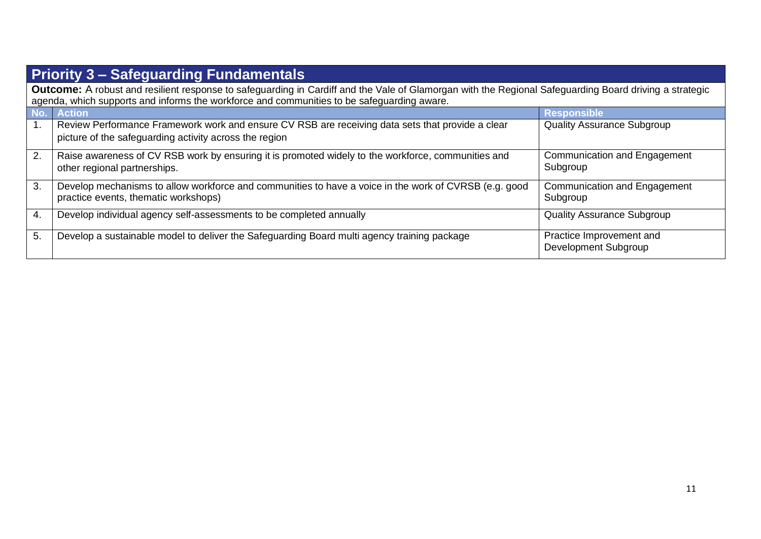| <b>Priority 3 – Safeguarding Fundamentals</b>                                                                                                                 |                                                                                                                                                            |                                                  |  |
|---------------------------------------------------------------------------------------------------------------------------------------------------------------|------------------------------------------------------------------------------------------------------------------------------------------------------------|--------------------------------------------------|--|
| <b>Outcome:</b> A robust and resilient response to safeguarding in Cardiff and the Vale of Glamorgan with the Regional Safeguarding Board driving a strategic |                                                                                                                                                            |                                                  |  |
|                                                                                                                                                               | agenda, which supports and informs the workforce and communities to be safeguarding aware.                                                                 |                                                  |  |
|                                                                                                                                                               | No. Action                                                                                                                                                 | <b>Responsible</b>                               |  |
|                                                                                                                                                               | Review Performance Framework work and ensure CV RSB are receiving data sets that provide a clear<br>picture of the safeguarding activity across the region | <b>Quality Assurance Subgroup</b>                |  |
| 2.                                                                                                                                                            | Raise awareness of CV RSB work by ensuring it is promoted widely to the workforce, communities and<br>other regional partnerships.                         | Communication and Engagement<br>Subgroup         |  |
| 3.                                                                                                                                                            | Develop mechanisms to allow workforce and communities to have a voice in the work of CVRSB (e.g. good<br>practice events, thematic workshops)              | Communication and Engagement<br>Subgroup         |  |
| 4.                                                                                                                                                            | Develop individual agency self-assessments to be completed annually                                                                                        | <b>Quality Assurance Subgroup</b>                |  |
| 5.                                                                                                                                                            | Develop a sustainable model to deliver the Safeguarding Board multi agency training package                                                                | Practice Improvement and<br>Development Subgroup |  |